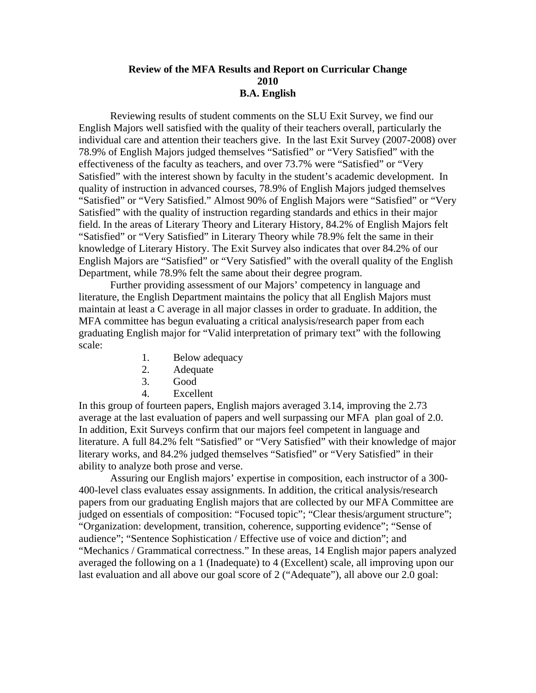## **Review of the MFA Results and Report on Curricular Change 2010 B.A. English**

 Reviewing results of student comments on the SLU Exit Survey, we find our English Majors well satisfied with the quality of their teachers overall, particularly the individual care and attention their teachers give. In the last Exit Survey (2007-2008) over 78.9% of English Majors judged themselves "Satisfied" or "Very Satisfied" with the effectiveness of the faculty as teachers, and over 73.7% were "Satisfied" or "Very Satisfied" with the interest shown by faculty in the student's academic development. In quality of instruction in advanced courses, 78.9% of English Majors judged themselves "Satisfied" or "Very Satisfied." Almost 90% of English Majors were "Satisfied" or "Very Satisfied" with the quality of instruction regarding standards and ethics in their major field. In the areas of Literary Theory and Literary History, 84.2% of English Majors felt "Satisfied" or "Very Satisfied" in Literary Theory while 78.9% felt the same in their knowledge of Literary History. The Exit Survey also indicates that over 84.2% of our English Majors are "Satisfied" or "Very Satisfied" with the overall quality of the English Department, while 78.9% felt the same about their degree program.

Further providing assessment of our Majors' competency in language and literature, the English Department maintains the policy that all English Majors must maintain at least a C average in all major classes in order to graduate. In addition, the MFA committee has begun evaluating a critical analysis/research paper from each graduating English major for "Valid interpretation of primary text" with the following scale:

- 1. Below adequacy
- 2. Adequate
- 3. Good
- 4. Excellent

In this group of fourteen papers, English majors averaged 3.14, improving the 2.73 average at the last evaluation of papers and well surpassing our MFA plan goal of 2.0. In addition, Exit Surveys confirm that our majors feel competent in language and literature. A full 84.2% felt "Satisfied" or "Very Satisfied" with their knowledge of major literary works, and 84.2% judged themselves "Satisfied" or "Very Satisfied" in their ability to analyze both prose and verse.

Assuring our English majors' expertise in composition, each instructor of a 300- 400-level class evaluates essay assignments. In addition, the critical analysis/research papers from our graduating English majors that are collected by our MFA Committee are judged on essentials of composition: "Focused topic"; "Clear thesis/argument structure"; "Organization: development, transition, coherence, supporting evidence"; "Sense of audience"; "Sentence Sophistication / Effective use of voice and diction"; and "Mechanics / Grammatical correctness." In these areas, 14 English major papers analyzed averaged the following on a 1 (Inadequate) to 4 (Excellent) scale, all improving upon our last evaluation and all above our goal score of 2 ("Adequate"), all above our 2.0 goal: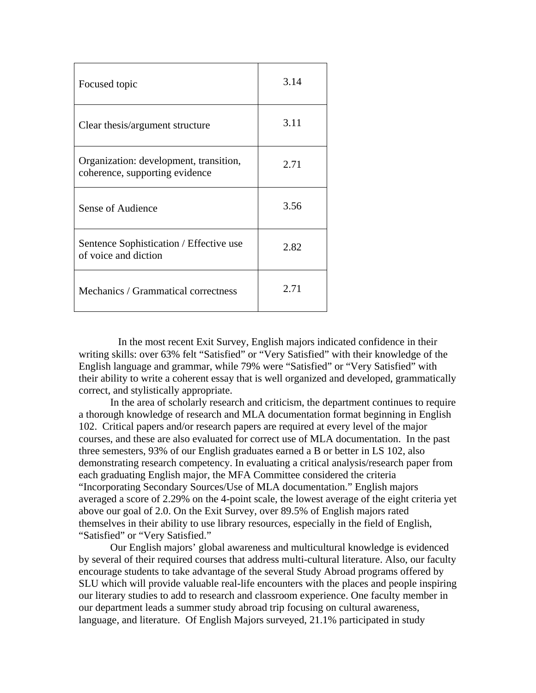| Focused topic                                                            | 3.14 |
|--------------------------------------------------------------------------|------|
| Clear thesis/argument structure                                          | 3.11 |
| Organization: development, transition,<br>coherence, supporting evidence | 2.71 |
| Sense of Audience                                                        | 3.56 |
| Sentence Sophistication / Effective use<br>of voice and diction          | 2.82 |
| Mechanics / Grammatical correctness                                      | 2.71 |

In the most recent Exit Survey, English majors indicated confidence in their writing skills: over 63% felt "Satisfied" or "Very Satisfied" with their knowledge of the English language and grammar, while 79% were "Satisfied" or "Very Satisfied" with their ability to write a coherent essay that is well organized and developed, grammatically correct, and stylistically appropriate.

In the area of scholarly research and criticism, the department continues to require a thorough knowledge of research and MLA documentation format beginning in English 102. Critical papers and/or research papers are required at every level of the major courses, and these are also evaluated for correct use of MLA documentation.In the past three semesters, 93% of our English graduates earned a B or better in LS 102, also demonstrating research competency. In evaluating a critical analysis/research paper from each graduating English major, the MFA Committee considered the criteria "Incorporating Secondary Sources/Use of MLA documentation." English majors averaged a score of 2.29% on the 4-point scale, the lowest average of the eight criteria yet above our goal of 2.0. On the Exit Survey, over 89.5% of English majors rated themselves in their ability to use library resources, especially in the field of English, "Satisfied" or "Very Satisfied."

Our English majors' global awareness and multicultural knowledge is evidenced by several of their required courses that address multi-cultural literature. Also, our faculty encourage students to take advantage of the several Study Abroad programs offered by SLU which will provide valuable real-life encounters with the places and people inspiring our literary studies to add to research and classroom experience. One faculty member in our department leads a summer study abroad trip focusing on cultural awareness, language, and literature. Of English Majors surveyed, 21.1% participated in study